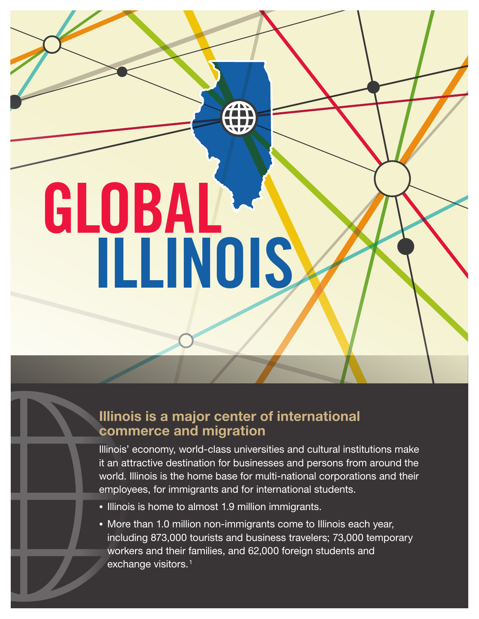**GLOBAL ILLINOIS**

# Illinois is a major center of international commerce and migration

Illinois' economy, world-class universities and cultural institutions make it an attractive destination for businesses and persons from around the world. Illinois is the home base for multi-national corporations and their employees, for immigrants and for international students.

- Illinois is home to almost 1.9 million immigrants.
- More than 1.0 million non-immigrants come to Illinois each year, including 873,000 tourists and business travelers; 73,000 temporary workers and their families, and 62,000 foreign students and exchange visitors.<sup>1</sup>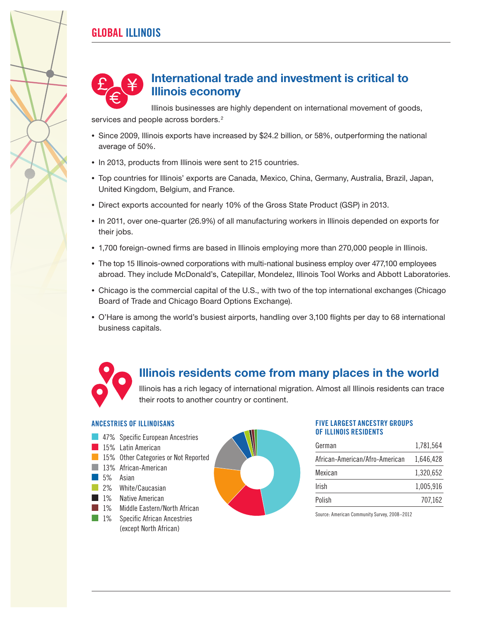### **GLOBAL ILLINOIS**



### International trade and investment is critical to Illinois economy

Illinois businesses are highly dependent on international movement of goods, services and people across borders.<sup>2</sup>

- Since 2009, Illinois exports have increased by \$24.2 billion, or 58%, outperforming the national average of 50%.
- In 2013, products from Illinois were sent to 215 countries.
- Top countries for Illinois' exports are Canada, Mexico, China, Germany, Australia, Brazil, Japan, United Kingdom, Belgium, and France.
- Direct exports accounted for nearly 10% of the Gross State Product (GSP) in 2013.
- In 2011, over one-quarter (26.9%) of all manufacturing workers in Illinois depended on exports for their jobs.
- 1,700 foreign-owned firms are based in Illinois employing more than 270,000 people in Illinois.
- The top 15 Illinois-owned corporations with multi-national business employ over 477,100 employees abroad. They include McDonald's, Catepillar, Mondelez, Illinois Tool Works and Abbott Laboratories.
- Chicago is the commercial capital of the U.S., with two of the top international exchanges (Chicago Board of Trade and Chicago Board Options Exchange).
- O'Hare is among the world's busiest airports, handling over 3,100 flights per day to 68 international business capitals.

## Illinois residents come from many places in the world

Illinois has a rich legacy of international migration. Almost all Illinois residents can trace their roots to another country or continent.

### **ANCESTRIES OF ILLINOISANS**

- **47%** Specific European Ancestries
- 15% Latin American
- **B** 15% Other Categories or Not Reported
- 13% African-American
- 5% Asian
- **2%** White/Caucasian
- 1% Native American
- 1% Middle Eastern/North African
- 1% Specific African Ancestries (except North African)



#### **FIVE LARGEST ANCESTRY GROUPS OF ILLINOIS RESIDENTS**

| German                         | 1,781,564 |
|--------------------------------|-----------|
| African-American/Afro-American | 1,646,428 |
| Mexican                        | 1,320,652 |
| Irish                          | 1,005,916 |
| Polish                         | 707,162   |

Source: American Community Survey, 2008–2012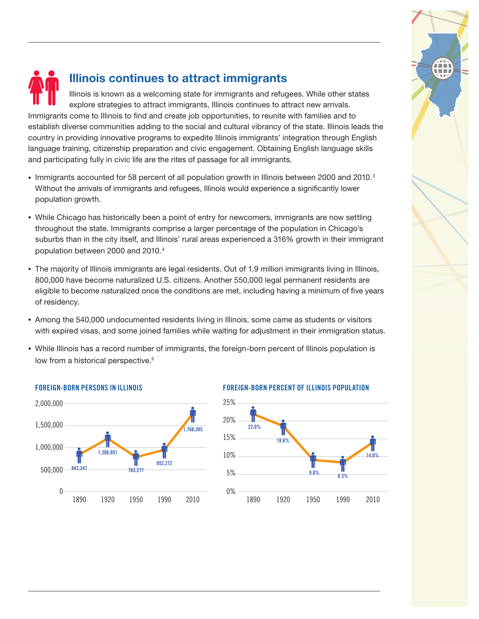

## Illinois continues to attract immigrants

Illinois is known as a welcoming state for immigrants and refugees. While other states explore strategies to attract immigrants, Illinois continues to attract new arrivals. Immigrants come to Illinois to find and create job opportunities, to reunite with families and to establish diverse communities adding to the social and cultural vibrancy of the state. Illinois leads the country in providing innovative programs to expedite Illinois immigrants' integration through English language training, citizenship preparation and civic engagement. Obtaining English language skills and participating fully in civic life are the rites of passage for all immigrants.

- Immigrants accounted for 58 percent of all population growth in Illinois between 2000 and 2010.<sup>3</sup> Without the arrivals of immigrants and refugees, Illinois would experience a significantly lower population growth.
- While Chicago has historically been a point of entry for newcomers, immigrants are now settling throughout the state. Immigrants comprise a larger percentage of the population in Chicago's suburbs than in the city itself, and Illinois' rural areas experienced a 316% growth in their immigrant population between 2000 and 2010.4
- The majority of Illinois immigrants are legal residents. Out of 1.9 million immigrants living in Illinois, 800,000 have become naturalized U.S. citizens. Another 550,000 legal permanent residents are eligible to become naturalized once the conditions are met, including having a minimum of five years of residency.
- Among the 540,000 undocumented residents living in Illinois, some came as students or visitors with expired visas, and some joined families while waiting for adjustment in their immigration status.
- While Illinois has a record number of immigrants, the foreign-born percent of Illinois population is low from a historical perspective.<sup>5</sup>



#### **FOREIGN-BORN PERSONS IN ILLINOIS FOREIGN-BORN PERCENT OF ILLINOIS POPULATION**